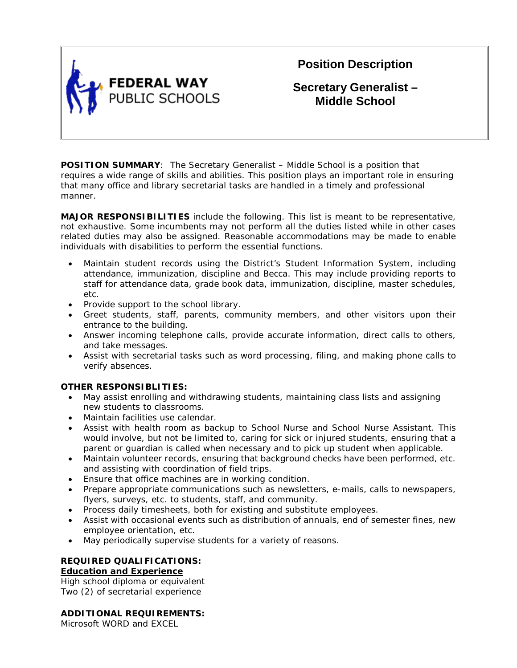

**Position Description**

**Secretary Generalist – Middle School**

**POSITION SUMMARY**: The Secretary Generalist – Middle School is a position that requires a wide range of skills and abilities. This position plays an important role in ensuring that many office and library secretarial tasks are handled in a timely and professional manner.

**MAJOR RESPONSIBILITIES** include the following. This list is meant to be representative, not exhaustive. Some incumbents may not perform all the duties listed while in other cases related duties may also be assigned. Reasonable accommodations may be made to enable individuals with disabilities to perform the essential functions.

- Maintain student records using the District's Student Information System, including attendance, immunization, discipline and Becca. This may include providing reports to staff for attendance data, grade book data, immunization, discipline, master schedules, etc.
- Provide support to the school library.
- Greet students, staff, parents, community members, and other visitors upon their entrance to the building.
- Answer incoming telephone calls, provide accurate information, direct calls to others, and take messages.
- Assist with secretarial tasks such as word processing, filing, and making phone calls to verify absences.

# **OTHER RESPONSIBLITIES:**

- May assist enrolling and withdrawing students, maintaining class lists and assigning new students to classrooms.
- Maintain facilities use calendar.
- Assist with health room as backup to School Nurse and School Nurse Assistant. This would involve, but not be limited to, caring for sick or injured students, ensuring that a parent or guardian is called when necessary and to pick up student when applicable.
- Maintain volunteer records, ensuring that background checks have been performed, etc. and assisting with coordination of field trips.
- Ensure that office machines are in working condition.
- Prepare appropriate communications such as newsletters, e-mails, calls to newspapers, flyers, surveys, etc. to students, staff, and community.
- Process daily timesheets, both for existing and substitute employees.
- Assist with occasional events such as distribution of annuals, end of semester fines, new employee orientation, etc.
- May periodically supervise students for a variety of reasons.

# **REQUIRED QUALIFICATIONS:**

# **Education and Experience**

High school diploma or equivalent Two (2) of secretarial experience

# **ADDITIONAL REQUIREMENTS:**

Microsoft WORD and EXCEL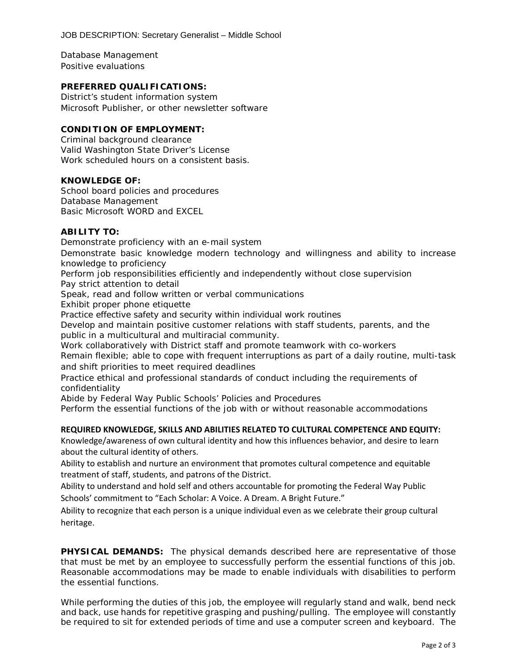Database Management Positive evaluations

### **PREFERRED QUALIFICATIONS:**

District's student information system Microsoft Publisher, or other newsletter software

### **CONDITION OF EMPLOYMENT:**

Criminal background clearance Valid Washington State Driver's License Work scheduled hours on a consistent basis.

### **KNOWLEDGE OF:**

School board policies and procedures Database Management Basic Microsoft WORD and EXCEL

### **ABILITY TO:**

Demonstrate proficiency with an e-mail system

Demonstrate basic knowledge modern technology and willingness and ability to increase knowledge to proficiency

Perform job responsibilities efficiently and independently without close supervision Pay strict attention to detail

Speak, read and follow written or verbal communications

Exhibit proper phone etiquette

Practice effective safety and security within individual work routines

Develop and maintain positive customer relations with staff students, parents, and the public in a multicultural and multiracial community.

Work collaboratively with District staff and promote teamwork with co-workers

Remain flexible; able to cope with frequent interruptions as part of a daily routine, multi-task and shift priorities to meet required deadlines

Practice ethical and professional standards of conduct including the requirements of confidentiality

Abide by Federal Way Public Schools' Policies and Procedures

Perform the essential functions of the job with or without reasonable accommodations

### **REQUIRED KNOWLEDGE, SKILLS AND ABILITIES RELATED TO CULTURAL COMPETENCE AND EQUITY:**

Knowledge/awareness of own cultural identity and how this influences behavior, and desire to learn about the cultural identity of others.

Ability to establish and nurture an environment that promotes cultural competence and equitable treatment of staff, students, and patrons of the District.

Ability to understand and hold self and others accountable for promoting the Federal Way Public Schools' commitment to "Each Scholar: A Voice. A Dream. A Bright Future."

Ability to recognize that each person is a unique individual even as we celebrate their group cultural heritage.

**PHYSICAL DEMANDS:** The physical demands described here are representative of those that must be met by an employee to successfully perform the essential functions of this job. Reasonable accommodations may be made to enable individuals with disabilities to perform the essential functions.

While performing the duties of this job, the employee will regularly stand and walk, bend neck and back, use hands for repetitive grasping and pushing/pulling. The employee will constantly be required to sit for extended periods of time and use a computer screen and keyboard. The